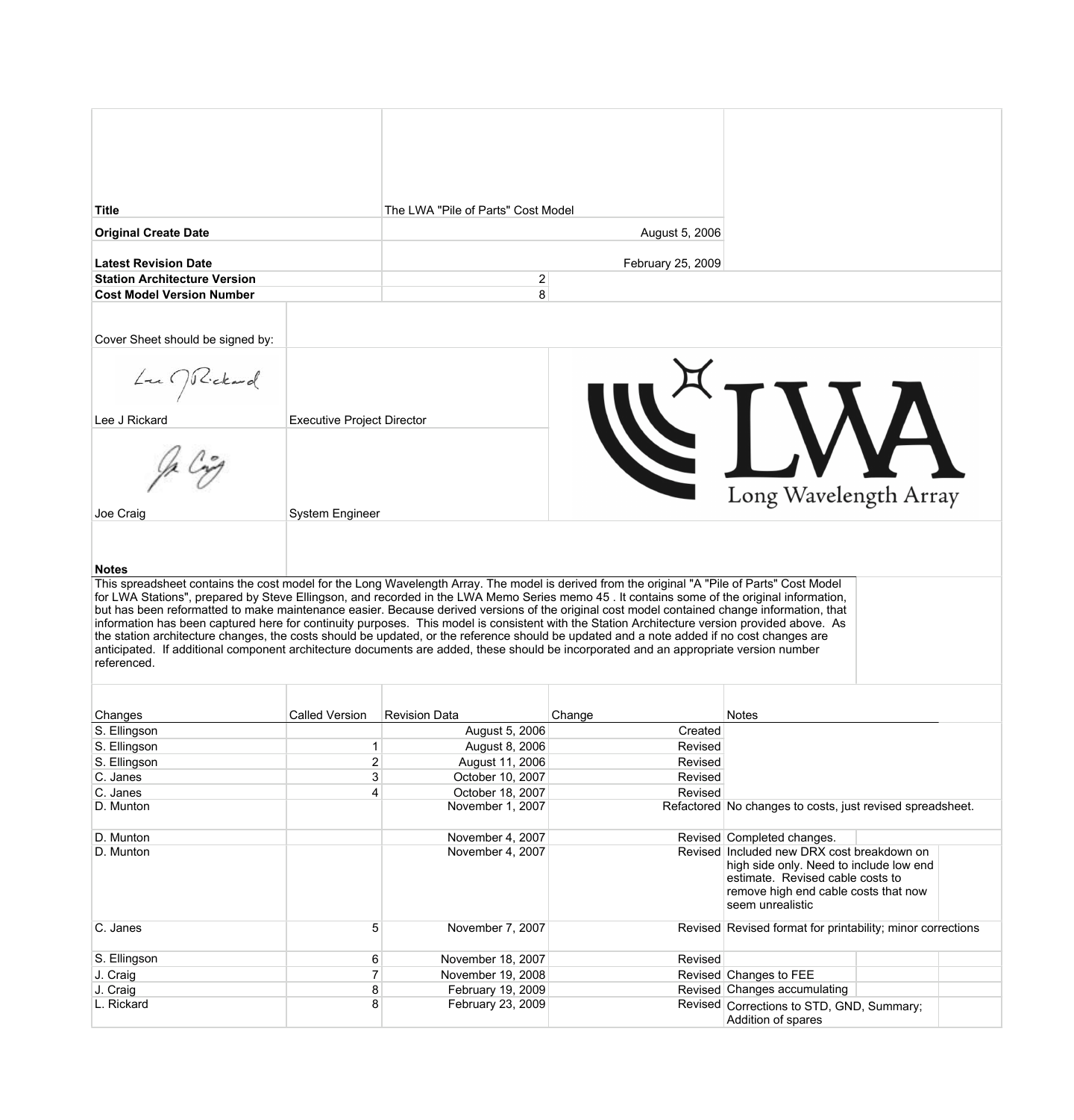| <b>Title</b>                                                                                                                                                                                                                                                                                 |                                   | The LWA "Pile of Parts" Cost Model     |                    |                                                                                       |  |
|----------------------------------------------------------------------------------------------------------------------------------------------------------------------------------------------------------------------------------------------------------------------------------------------|-----------------------------------|----------------------------------------|--------------------|---------------------------------------------------------------------------------------|--|
| <b>Original Create Date</b>                                                                                                                                                                                                                                                                  |                                   |                                        | August 5, 2006     |                                                                                       |  |
| <b>Latest Revision Date</b>                                                                                                                                                                                                                                                                  |                                   |                                        | February 25, 2009  |                                                                                       |  |
| <b>Station Architecture Version</b>                                                                                                                                                                                                                                                          |                                   | $\overline{\mathbf{c}}$                |                    |                                                                                       |  |
| <b>Cost Model Version Number</b>                                                                                                                                                                                                                                                             |                                   | 8                                      |                    |                                                                                       |  |
|                                                                                                                                                                                                                                                                                              |                                   |                                        |                    |                                                                                       |  |
| Cover Sheet should be signed by:                                                                                                                                                                                                                                                             |                                   |                                        |                    |                                                                                       |  |
|                                                                                                                                                                                                                                                                                              |                                   |                                        |                    |                                                                                       |  |
| $L_{t}$ ( ) Rickard                                                                                                                                                                                                                                                                          |                                   |                                        |                    |                                                                                       |  |
|                                                                                                                                                                                                                                                                                              |                                   |                                        |                    |                                                                                       |  |
| Lee J Rickard                                                                                                                                                                                                                                                                                | <b>Executive Project Director</b> |                                        |                    |                                                                                       |  |
|                                                                                                                                                                                                                                                                                              |                                   |                                        |                    |                                                                                       |  |
|                                                                                                                                                                                                                                                                                              |                                   |                                        |                    |                                                                                       |  |
|                                                                                                                                                                                                                                                                                              |                                   |                                        |                    |                                                                                       |  |
|                                                                                                                                                                                                                                                                                              |                                   |                                        |                    | Long Wavelength Array                                                                 |  |
| Joe Craig                                                                                                                                                                                                                                                                                    | <b>System Engineer</b>            |                                        |                    |                                                                                       |  |
|                                                                                                                                                                                                                                                                                              |                                   |                                        |                    |                                                                                       |  |
|                                                                                                                                                                                                                                                                                              |                                   |                                        |                    |                                                                                       |  |
| <b>Notes</b>                                                                                                                                                                                                                                                                                 |                                   |                                        |                    |                                                                                       |  |
| This spreadsheet contains the cost model for the Long Wavelength Array. The model is derived from the original "A "Pile of Parts" Cost Model                                                                                                                                                 |                                   |                                        |                    |                                                                                       |  |
| for LWA Stations", prepared by Steve Ellingson, and recorded in the LWA Memo Series memo 45. It contains some of the original information,                                                                                                                                                   |                                   |                                        |                    |                                                                                       |  |
| but has been reformatted to make maintenance easier. Because derived versions of the original cost model contained change information, that<br>information has been captured here for continuity purposes. This model is consistent with the Station Architecture version provided above. As |                                   |                                        |                    |                                                                                       |  |
| the station architecture changes, the costs should be updated, or the reference should be updated and a note added if no cost changes are                                                                                                                                                    |                                   |                                        |                    |                                                                                       |  |
| anticipated. If additional component architecture documents are added, these should be incorporated and an appropriate version number<br>referenced.                                                                                                                                         |                                   |                                        |                    |                                                                                       |  |
|                                                                                                                                                                                                                                                                                              |                                   |                                        |                    |                                                                                       |  |
|                                                                                                                                                                                                                                                                                              |                                   |                                        |                    |                                                                                       |  |
| Changes                                                                                                                                                                                                                                                                                      | <b>Called Version</b>             | <b>Revision Data</b>                   | Change             | <b>Notes</b>                                                                          |  |
| S. Ellingson                                                                                                                                                                                                                                                                                 |                                   | August 5, 2006                         | Created            |                                                                                       |  |
| S. Ellingson                                                                                                                                                                                                                                                                                 | 1                                 | August 8, 2006                         | Revised            |                                                                                       |  |
| S. Ellingson<br>C. Janes                                                                                                                                                                                                                                                                     | 2<br>3                            | August 11, 2006<br>October 10, 2007    | Revised<br>Revised |                                                                                       |  |
| C. Janes                                                                                                                                                                                                                                                                                     | 4                                 | October 18, 2007                       | Revised            |                                                                                       |  |
| D. Munton                                                                                                                                                                                                                                                                                    |                                   | November 1, 2007                       |                    | Refactored No changes to costs, just revised spreadsheet.                             |  |
|                                                                                                                                                                                                                                                                                              |                                   |                                        |                    |                                                                                       |  |
| D. Munton                                                                                                                                                                                                                                                                                    |                                   | November 4, 2007                       |                    | Revised Completed changes.                                                            |  |
| D. Munton                                                                                                                                                                                                                                                                                    |                                   | November 4, 2007                       |                    | Revised Included new DRX cost breakdown on<br>high side only. Need to include low end |  |
|                                                                                                                                                                                                                                                                                              |                                   |                                        |                    | estimate. Revised cable costs to                                                      |  |
|                                                                                                                                                                                                                                                                                              |                                   |                                        |                    | remove high end cable costs that now                                                  |  |
|                                                                                                                                                                                                                                                                                              |                                   |                                        |                    | seem unrealistic                                                                      |  |
| C. Janes                                                                                                                                                                                                                                                                                     | 5                                 | November 7, 2007                       |                    | Revised Revised format for printability; minor corrections                            |  |
| S. Ellingson                                                                                                                                                                                                                                                                                 |                                   |                                        |                    |                                                                                       |  |
| J. Craig                                                                                                                                                                                                                                                                                     | 6<br>$\overline{7}$               | November 18, 2007<br>November 19, 2008 | Revised            | Revised Changes to FEE                                                                |  |
| J. Craig                                                                                                                                                                                                                                                                                     | 8                                 | February 19, 2009                      |                    | Revised Changes accumulating                                                          |  |
| L. Rickard                                                                                                                                                                                                                                                                                   | 8                                 | February 23, 2009                      |                    | Revised Corrections to STD, GND, Summary;                                             |  |
|                                                                                                                                                                                                                                                                                              |                                   |                                        |                    | Addition of spares                                                                    |  |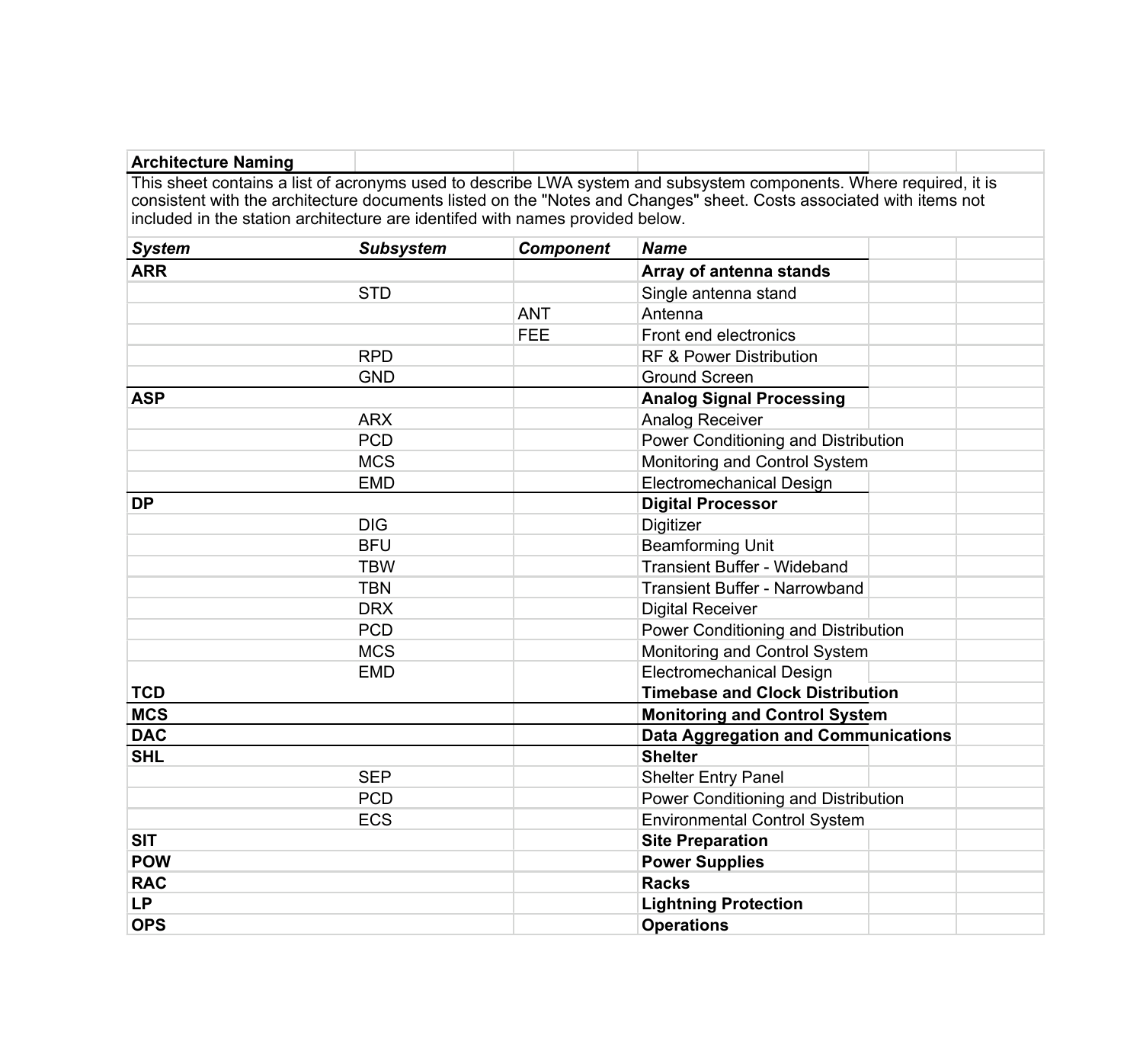| <b>Architecture Naming</b>                                                    |                  |                  |                                                                                                                     |  |
|-------------------------------------------------------------------------------|------------------|------------------|---------------------------------------------------------------------------------------------------------------------|--|
|                                                                               |                  |                  | This sheet contains a list of acronyms used to describe LWA system and subsystem components. Where required, it is  |  |
|                                                                               |                  |                  | consistent with the architecture documents listed on the "Notes and Changes" sheet. Costs associated with items not |  |
| included in the station architecture are identifed with names provided below. |                  |                  |                                                                                                                     |  |
| <b>System</b>                                                                 | <b>Subsystem</b> | <b>Component</b> | <b>Name</b>                                                                                                         |  |
| <b>ARR</b>                                                                    |                  |                  | Array of antenna stands                                                                                             |  |
|                                                                               | <b>STD</b>       |                  | Single antenna stand                                                                                                |  |
|                                                                               |                  | <b>ANT</b>       | Antenna                                                                                                             |  |
|                                                                               |                  | <b>FEE</b>       | Front end electronics                                                                                               |  |
|                                                                               | <b>RPD</b>       |                  | RF & Power Distribution                                                                                             |  |
|                                                                               | <b>GND</b>       |                  | <b>Ground Screen</b>                                                                                                |  |
| <b>ASP</b>                                                                    |                  |                  | <b>Analog Signal Processing</b>                                                                                     |  |
|                                                                               | <b>ARX</b>       |                  | Analog Receiver                                                                                                     |  |
|                                                                               | <b>PCD</b>       |                  | Power Conditioning and Distribution                                                                                 |  |
|                                                                               | <b>MCS</b>       |                  | Monitoring and Control System                                                                                       |  |
|                                                                               | <b>EMD</b>       |                  | <b>Electromechanical Design</b>                                                                                     |  |
| <b>DP</b>                                                                     |                  |                  | <b>Digital Processor</b>                                                                                            |  |
|                                                                               | <b>DIG</b>       |                  | Digitizer                                                                                                           |  |
|                                                                               | <b>BFU</b>       |                  | <b>Beamforming Unit</b>                                                                                             |  |
|                                                                               | <b>TBW</b>       |                  | Transient Buffer - Wideband                                                                                         |  |
|                                                                               | <b>TBN</b>       |                  | Transient Buffer - Narrowband                                                                                       |  |
|                                                                               | <b>DRX</b>       |                  | <b>Digital Receiver</b>                                                                                             |  |
|                                                                               | <b>PCD</b>       |                  | Power Conditioning and Distribution                                                                                 |  |
|                                                                               | <b>MCS</b>       |                  | Monitoring and Control System                                                                                       |  |
|                                                                               | <b>EMD</b>       |                  | <b>Electromechanical Design</b>                                                                                     |  |
| <b>TCD</b>                                                                    |                  |                  | <b>Timebase and Clock Distribution</b>                                                                              |  |
| <b>MCS</b>                                                                    |                  |                  | <b>Monitoring and Control System</b>                                                                                |  |
| <b>DAC</b>                                                                    |                  |                  | <b>Data Aggregation and Communications</b>                                                                          |  |
| <b>SHL</b>                                                                    |                  |                  | <b>Shelter</b>                                                                                                      |  |
|                                                                               | <b>SEP</b>       |                  | <b>Shelter Entry Panel</b>                                                                                          |  |
|                                                                               | <b>PCD</b>       |                  | Power Conditioning and Distribution                                                                                 |  |
|                                                                               | <b>ECS</b>       |                  | <b>Environmental Control System</b>                                                                                 |  |
| <b>SIT</b>                                                                    |                  |                  | <b>Site Preparation</b>                                                                                             |  |
| <b>POW</b>                                                                    |                  |                  | <b>Power Supplies</b>                                                                                               |  |
| <b>RAC</b>                                                                    |                  |                  | <b>Racks</b>                                                                                                        |  |
| <b>LP</b>                                                                     |                  |                  | <b>Lightning Protection</b>                                                                                         |  |
| <b>OPS</b>                                                                    |                  |                  | <b>Operations</b>                                                                                                   |  |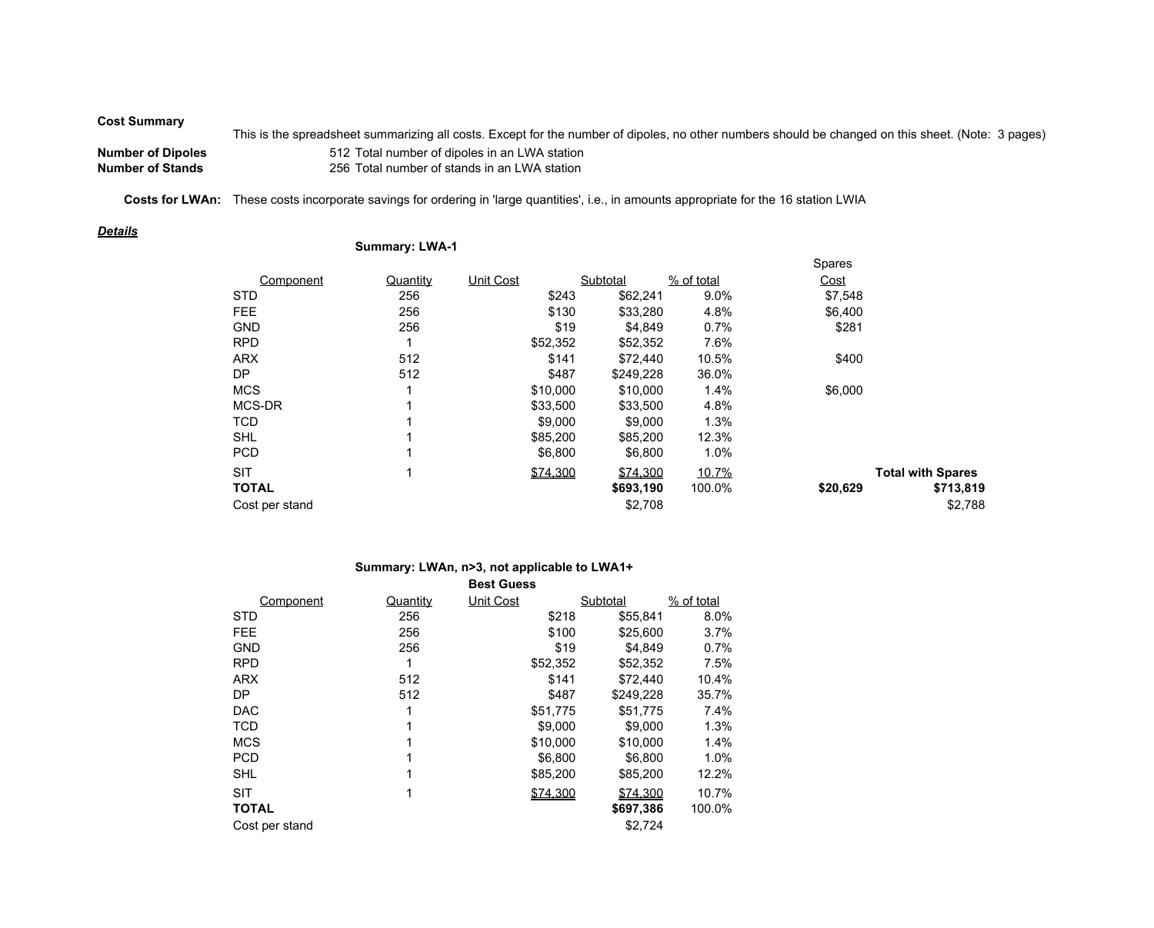## **Cost Summary**

This is the spreadsheet summarizing all costs. Except for the number of dipoles, no other numbers should be changed on this sheet. (Note: 3 pages) **Number of Dipoles** 512 Total number of dipoles in an LWA station **Number of Stands** 256 Total number of stands in an LWA station

Costs for LWAn: These costs incorporate savings for ordering in 'large quantities', i.e., in amounts appropriate for the 16 station LWIA

## *Details*

## **Summary: LWA-1**

|                |          |                  |           |            | Spares   |                          |
|----------------|----------|------------------|-----------|------------|----------|--------------------------|
| Component      | Quantity | <b>Unit Cost</b> | Subtotal  | % of total | Cost     |                          |
| <b>STD</b>     | 256      | \$243            | \$62,241  | 9.0%       | \$7,548  |                          |
| <b>FEE</b>     | 256      | \$130            | \$33,280  | 4.8%       | \$6,400  |                          |
| <b>GND</b>     | 256      | \$19             | \$4,849   | 0.7%       | \$281    |                          |
| <b>RPD</b>     |          | \$52,352         | \$52,352  | 7.6%       |          |                          |
| <b>ARX</b>     | 512      | \$141            | \$72,440  | 10.5%      | \$400    |                          |
| DP             | 512      | \$487            | \$249,228 | 36.0%      |          |                          |
| <b>MCS</b>     | 4        | \$10,000         | \$10,000  | 1.4%       | \$6,000  |                          |
| MCS-DR         |          | \$33,500         | \$33,500  | 4.8%       |          |                          |
| <b>TCD</b>     |          | \$9,000          | \$9,000   | 1.3%       |          |                          |
| <b>SHL</b>     |          | \$85,200         | \$85,200  | 12.3%      |          |                          |
| <b>PCD</b>     | 4        | \$6,800          | \$6,800   | 1.0%       |          |                          |
| <b>SIT</b>     | 1        | \$74,300         | \$74,300  | 10.7%      |          | <b>Total with Spares</b> |
| <b>TOTAL</b>   |          |                  | \$693,190 | 100.0%     | \$20,629 | \$713,819                |
| Cost per stand |          |                  | \$2,708   |            |          | \$2,788                  |

## **Summary: LWAn, n>3, not applicable to LWA1+**

| <b>Best Guess</b> |          |                  |           |              |  |  |  |  |  |  |
|-------------------|----------|------------------|-----------|--------------|--|--|--|--|--|--|
| Component         | Quantity | <b>Unit Cost</b> | Subtotal  | $%$ of total |  |  |  |  |  |  |
| <b>STD</b>        | 256      | \$218            | \$55,841  | 8.0%         |  |  |  |  |  |  |
| <b>FEE</b>        | 256      | \$100            | \$25,600  | 3.7%         |  |  |  |  |  |  |
| <b>GND</b>        | 256      | \$19             | \$4.849   | 0.7%         |  |  |  |  |  |  |
| <b>RPD</b>        | 1        | \$52,352         | \$52,352  | 7.5%         |  |  |  |  |  |  |
| <b>ARX</b>        | 512      | \$141            | \$72,440  | 10.4%        |  |  |  |  |  |  |
| DP                | 512      | \$487            | \$249,228 | 35.7%        |  |  |  |  |  |  |
| <b>DAC</b>        | 1        | \$51,775         | \$51.775  | 7.4%         |  |  |  |  |  |  |
| <b>TCD</b>        | 1        | \$9,000          | \$9,000   | 1.3%         |  |  |  |  |  |  |
| <b>MCS</b>        | 1        | \$10,000         | \$10,000  | 1.4%         |  |  |  |  |  |  |
| <b>PCD</b>        | 1        | \$6,800          | \$6,800   | 1.0%         |  |  |  |  |  |  |
| <b>SHL</b>        | 1        | \$85,200         | \$85,200  | 12.2%        |  |  |  |  |  |  |
| <b>SIT</b>        | 1        | \$74,300         | \$74,300  | 10.7%        |  |  |  |  |  |  |
| <b>TOTAL</b>      |          |                  | \$697,386 | 100.0%       |  |  |  |  |  |  |
| Cost per stand    |          |                  | \$2,724   |              |  |  |  |  |  |  |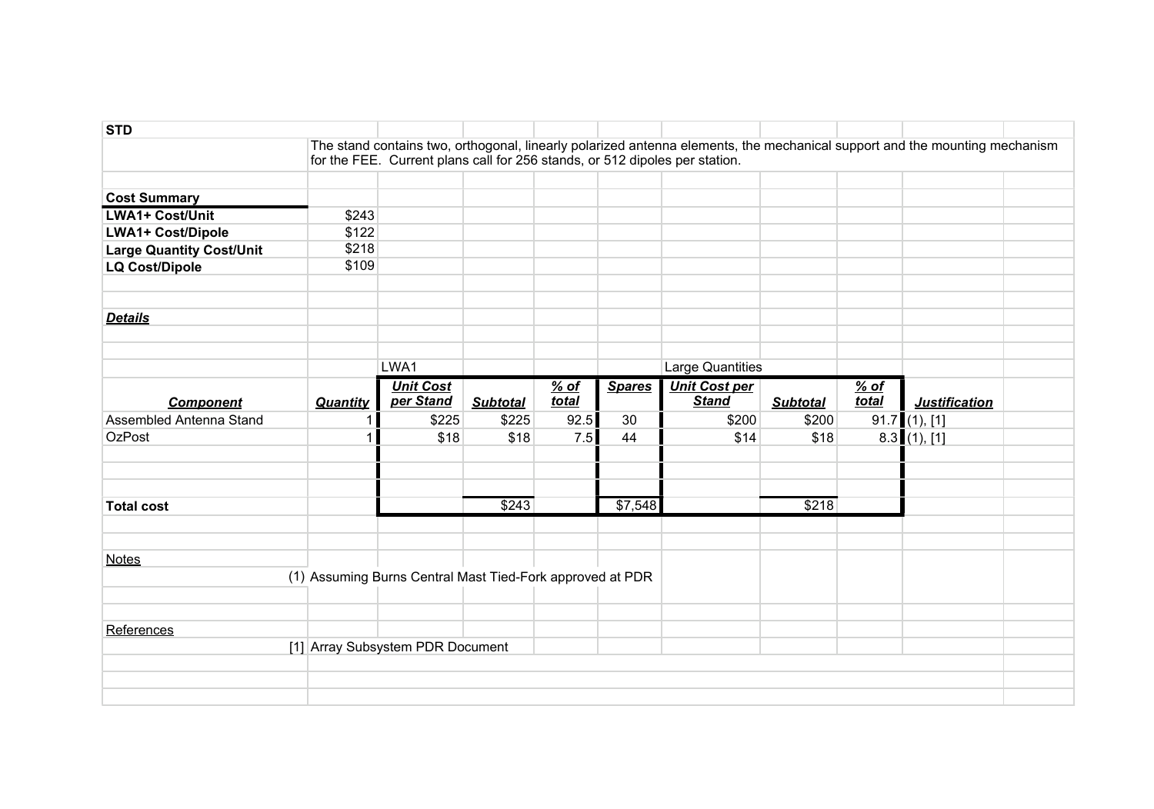| <b>STD</b>                      |          |                                                                             |                 |                 |               |                                                                                                                            |                 |                 |                      |  |
|---------------------------------|----------|-----------------------------------------------------------------------------|-----------------|-----------------|---------------|----------------------------------------------------------------------------------------------------------------------------|-----------------|-----------------|----------------------|--|
|                                 |          |                                                                             |                 |                 |               | The stand contains two, orthogonal, linearly polarized antenna elements, the mechanical support and the mounting mechanism |                 |                 |                      |  |
|                                 |          | for the FEE. Current plans call for 256 stands, or 512 dipoles per station. |                 |                 |               |                                                                                                                            |                 |                 |                      |  |
| <b>Cost Summary</b>             |          |                                                                             |                 |                 |               |                                                                                                                            |                 |                 |                      |  |
| <b>LWA1+ Cost/Unit</b>          | \$243    |                                                                             |                 |                 |               |                                                                                                                            |                 |                 |                      |  |
| <b>LWA1+ Cost/Dipole</b>        | \$122    |                                                                             |                 |                 |               |                                                                                                                            |                 |                 |                      |  |
| <b>Large Quantity Cost/Unit</b> | \$218    |                                                                             |                 |                 |               |                                                                                                                            |                 |                 |                      |  |
| <b>LQ Cost/Dipole</b>           | \$109    |                                                                             |                 |                 |               |                                                                                                                            |                 |                 |                      |  |
| <b>Details</b>                  |          |                                                                             |                 |                 |               |                                                                                                                            |                 |                 |                      |  |
|                                 |          | LWA1                                                                        |                 |                 |               | <b>Large Quantities</b>                                                                                                    |                 |                 |                      |  |
| <b>Component</b>                | Quantity | <b>Unit Cost</b><br>per Stand                                               | <b>Subtotal</b> | $%$ of<br>total | <b>Spares</b> | <b>Unit Cost per</b><br><b>Stand</b>                                                                                       | <b>Subtotal</b> | $%$ of<br>total | <b>Justification</b> |  |
| Assembled Antenna Stand         | 1        | \$225                                                                       | \$225           | 92.5            | 30            | \$200                                                                                                                      | \$200           |                 | $91.7$ (1), [1]      |  |
| <b>OzPost</b>                   | 1        | \$18                                                                        | \$18            | 7.5             | 44            | \$14                                                                                                                       | \$18            |                 | $8.3$ (1), [1]       |  |
|                                 |          |                                                                             |                 |                 |               |                                                                                                                            |                 |                 |                      |  |
| <b>Total cost</b>               |          |                                                                             | \$243           |                 | \$7,548       |                                                                                                                            | \$218           |                 |                      |  |
|                                 |          |                                                                             |                 |                 |               |                                                                                                                            |                 |                 |                      |  |
| <b>Notes</b>                    |          | (1) Assuming Burns Central Mast Tied-Fork approved at PDR                   |                 |                 |               |                                                                                                                            |                 |                 |                      |  |
|                                 |          |                                                                             |                 |                 |               |                                                                                                                            |                 |                 |                      |  |
| References                      |          |                                                                             |                 |                 |               |                                                                                                                            |                 |                 |                      |  |
|                                 |          | [1] Array Subsystem PDR Document                                            |                 |                 |               |                                                                                                                            |                 |                 |                      |  |
|                                 |          |                                                                             |                 |                 |               |                                                                                                                            |                 |                 |                      |  |
|                                 |          |                                                                             |                 |                 |               |                                                                                                                            |                 |                 |                      |  |
|                                 |          |                                                                             |                 |                 |               |                                                                                                                            |                 |                 |                      |  |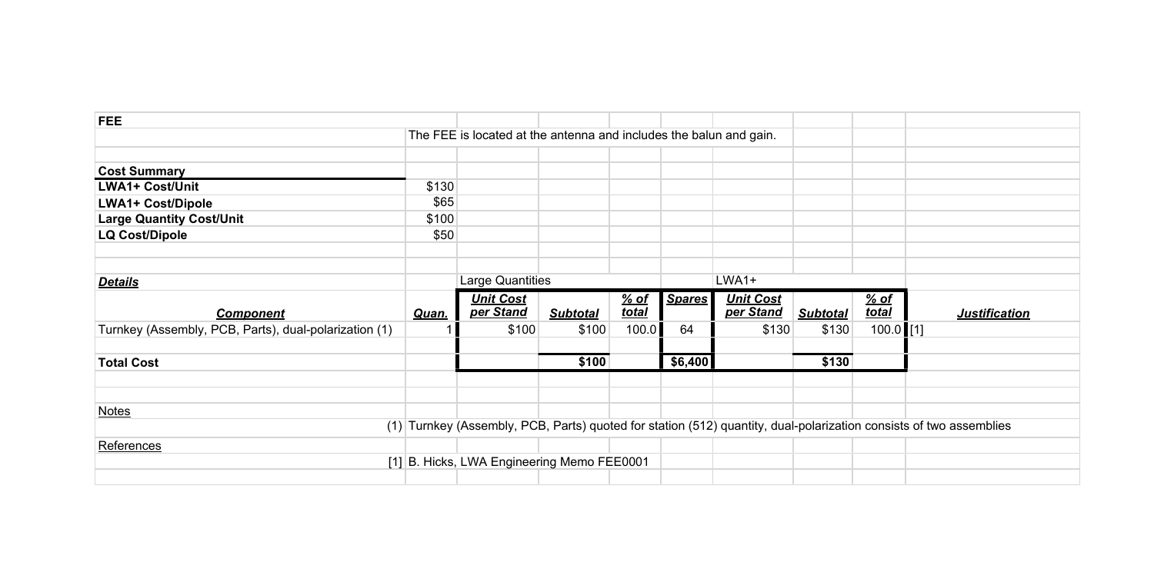| <b>FEE</b>                                            |       |                                                                    |                 |       |               |                  |                 |              |                                                                                                                    |
|-------------------------------------------------------|-------|--------------------------------------------------------------------|-----------------|-------|---------------|------------------|-----------------|--------------|--------------------------------------------------------------------------------------------------------------------|
|                                                       |       | The FEE is located at the antenna and includes the balun and gain. |                 |       |               |                  |                 |              |                                                                                                                    |
|                                                       |       |                                                                    |                 |       |               |                  |                 |              |                                                                                                                    |
| <b>Cost Summary</b>                                   |       |                                                                    |                 |       |               |                  |                 |              |                                                                                                                    |
| <b>LWA1+ Cost/Unit</b>                                | \$130 |                                                                    |                 |       |               |                  |                 |              |                                                                                                                    |
| <b>LWA1+ Cost/Dipole</b>                              | \$65  |                                                                    |                 |       |               |                  |                 |              |                                                                                                                    |
| <b>Large Quantity Cost/Unit</b>                       | \$100 |                                                                    |                 |       |               |                  |                 |              |                                                                                                                    |
| <b>LQ Cost/Dipole</b>                                 | \$50  |                                                                    |                 |       |               |                  |                 |              |                                                                                                                    |
|                                                       |       |                                                                    |                 |       |               |                  |                 |              |                                                                                                                    |
|                                                       |       |                                                                    |                 |       |               |                  |                 |              |                                                                                                                    |
| <b>Details</b>                                        |       | Large Quantities                                                   |                 |       |               | LWA1+            |                 |              |                                                                                                                    |
|                                                       |       |                                                                    |                 |       |               |                  |                 |              |                                                                                                                    |
|                                                       |       | <b>Unit Cost</b>                                                   |                 | % of  | <b>Spares</b> | <b>Unit Cost</b> |                 | <u>% of</u>  |                                                                                                                    |
| <b>Component</b>                                      | Quan. | per Stand                                                          | <b>Subtotal</b> | total |               | per Stand        | <b>Subtotal</b> | <b>total</b> | <b>Justification</b>                                                                                               |
| Turnkey (Assembly, PCB, Parts), dual-polarization (1) |       | \$100                                                              | \$100           | 100.0 | 64            | \$130            | \$130           | $100.0$ [1]  |                                                                                                                    |
|                                                       |       |                                                                    |                 |       |               |                  |                 |              |                                                                                                                    |
| <b>Total Cost</b>                                     |       |                                                                    | \$100           |       | \$6,400       |                  | \$130           |              |                                                                                                                    |
|                                                       |       |                                                                    |                 |       |               |                  |                 |              |                                                                                                                    |
|                                                       |       |                                                                    |                 |       |               |                  |                 |              |                                                                                                                    |
| <b>Notes</b>                                          |       |                                                                    |                 |       |               |                  |                 |              |                                                                                                                    |
|                                                       |       |                                                                    |                 |       |               |                  |                 |              | (1) Turnkey (Assembly, PCB, Parts) quoted for station (512) quantity, dual-polarization consists of two assemblies |
| References                                            |       |                                                                    |                 |       |               |                  |                 |              |                                                                                                                    |
|                                                       |       | [1] B. Hicks, LWA Engineering Memo FEE0001                         |                 |       |               |                  |                 |              |                                                                                                                    |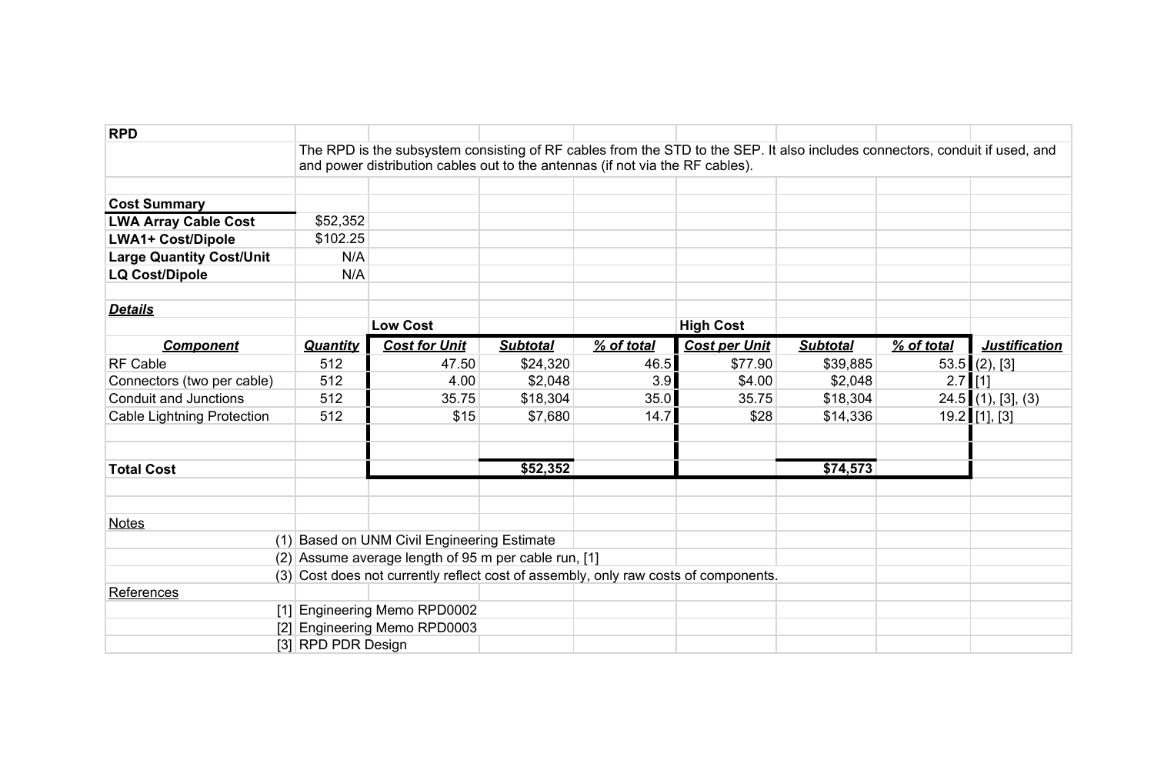| <b>RPD</b>                        |                    |                                                                                                                                                                                                              |                 |            |                      |                 |            |                      |
|-----------------------------------|--------------------|--------------------------------------------------------------------------------------------------------------------------------------------------------------------------------------------------------------|-----------------|------------|----------------------|-----------------|------------|----------------------|
|                                   |                    | The RPD is the subsystem consisting of RF cables from the STD to the SEP. It also includes connectors, conduit if used, and<br>and power distribution cables out to the antennas (if not via the RF cables). |                 |            |                      |                 |            |                      |
|                                   |                    |                                                                                                                                                                                                              |                 |            |                      |                 |            |                      |
| <b>Cost Summary</b>               |                    |                                                                                                                                                                                                              |                 |            |                      |                 |            |                      |
| <b>LWA Array Cable Cost</b>       | \$52,352           |                                                                                                                                                                                                              |                 |            |                      |                 |            |                      |
| <b>LWA1+ Cost/Dipole</b>          | \$102.25           |                                                                                                                                                                                                              |                 |            |                      |                 |            |                      |
| <b>Large Quantity Cost/Unit</b>   | N/A                |                                                                                                                                                                                                              |                 |            |                      |                 |            |                      |
| <b>LQ Cost/Dipole</b>             | N/A                |                                                                                                                                                                                                              |                 |            |                      |                 |            |                      |
| <b>Details</b>                    |                    |                                                                                                                                                                                                              |                 |            |                      |                 |            |                      |
|                                   |                    | <b>Low Cost</b>                                                                                                                                                                                              |                 |            | <b>High Cost</b>     |                 |            |                      |
| <b>Component</b>                  | <b>Quantity</b>    | <b>Cost for Unit</b>                                                                                                                                                                                         | <b>Subtotal</b> | % of total | <b>Cost per Unit</b> | <b>Subtotal</b> | % of total | <b>Justification</b> |
| <b>RF Cable</b>                   | 512                | 47.50                                                                                                                                                                                                        | \$24,320        | 46.5       | \$77.90              | \$39,885        |            | $53.5$ (2), [3]      |
| Connectors (two per cable)        | 512                | 4.00                                                                                                                                                                                                         | \$2,048         | 3.9        | \$4.00               | \$2,048         | $2.7$ [1]  |                      |
| <b>Conduit and Junctions</b>      | 512                | 35.75                                                                                                                                                                                                        | \$18,304        | 35.0       | 35.75                | \$18,304        |            | $24.5$ (1), [3], (3) |
| <b>Cable Lightning Protection</b> | 512                | \$15                                                                                                                                                                                                         | \$7,680         | 14.7       | \$28                 | \$14,336        |            | $19.2$ [1], [3]      |
| <b>Total Cost</b>                 |                    |                                                                                                                                                                                                              | \$52,352        |            |                      | \$74,573        |            |                      |
|                                   |                    |                                                                                                                                                                                                              |                 |            |                      |                 |            |                      |
| <b>Notes</b>                      |                    |                                                                                                                                                                                                              |                 |            |                      |                 |            |                      |
|                                   |                    | (1) Based on UNM Civil Engineering Estimate                                                                                                                                                                  |                 |            |                      |                 |            |                      |
|                                   |                    | (2) Assume average length of 95 m per cable run, [1]                                                                                                                                                         |                 |            |                      |                 |            |                      |
|                                   |                    | (3) Cost does not currently reflect cost of assembly, only raw costs of components.                                                                                                                          |                 |            |                      |                 |            |                      |
| References                        |                    |                                                                                                                                                                                                              |                 |            |                      |                 |            |                      |
|                                   |                    | [1] Engineering Memo RPD0002                                                                                                                                                                                 |                 |            |                      |                 |            |                      |
|                                   |                    | [2] Engineering Memo RPD0003                                                                                                                                                                                 |                 |            |                      |                 |            |                      |
|                                   | [3] RPD PDR Design |                                                                                                                                                                                                              |                 |            |                      |                 |            |                      |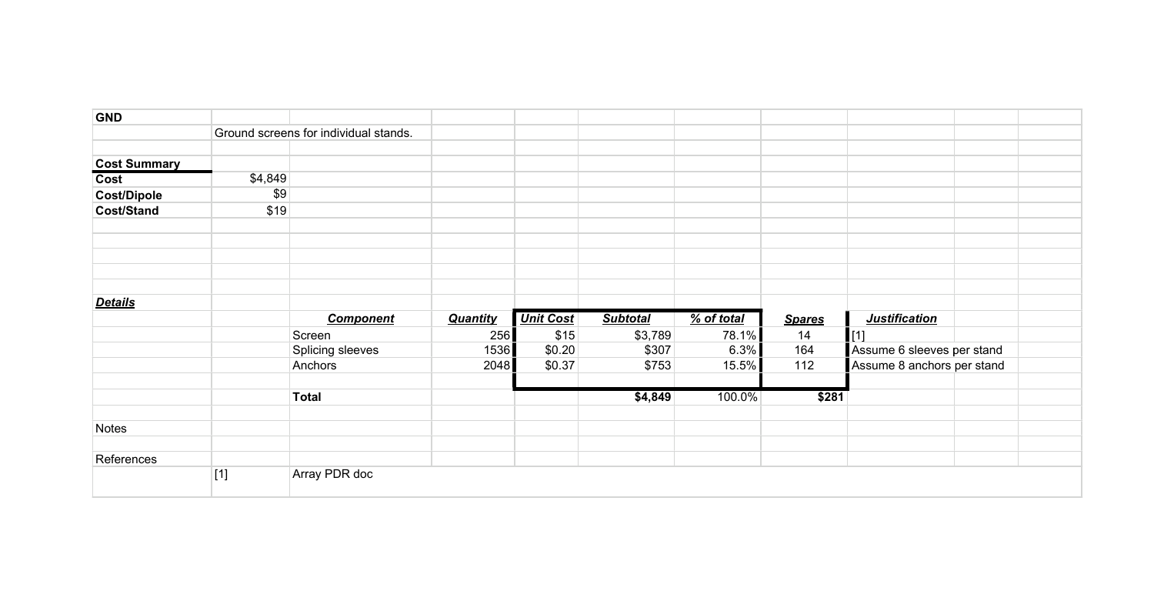| <b>GND</b>                  |         |                                       |                 |                  |                 |            |               |                            |  |
|-----------------------------|---------|---------------------------------------|-----------------|------------------|-----------------|------------|---------------|----------------------------|--|
|                             |         | Ground screens for individual stands. |                 |                  |                 |            |               |                            |  |
|                             |         |                                       |                 |                  |                 |            |               |                            |  |
| <b>Cost Summary</b><br>Cost | \$4,849 |                                       |                 |                  |                 |            |               |                            |  |
| <b>Cost/Dipole</b>          | \$9     |                                       |                 |                  |                 |            |               |                            |  |
| Cost/Stand                  | \$19    |                                       |                 |                  |                 |            |               |                            |  |
|                             |         |                                       |                 |                  |                 |            |               |                            |  |
|                             |         |                                       |                 |                  |                 |            |               |                            |  |
|                             |         |                                       |                 |                  |                 |            |               |                            |  |
|                             |         |                                       |                 |                  |                 |            |               |                            |  |
| <b>Details</b>              |         |                                       |                 |                  |                 |            |               |                            |  |
|                             |         | <b>Component</b>                      | <b>Quantity</b> | <b>Unit Cost</b> | <b>Subtotal</b> | % of total | <b>Spares</b> | <b>Justification</b>       |  |
|                             |         | Screen                                | 256             | \$15             | \$3,789         | 78.1%      | 14            | [1]                        |  |
|                             |         | Splicing sleeves                      | 1536            | \$0.20           | \$307           | 6.3%       | 164           | Assume 6 sleeves per stand |  |
|                             |         | Anchors                               | 2048            | \$0.37           | \$753           | 15.5%      | 112           | Assume 8 anchors per stand |  |
|                             |         | <b>Total</b>                          |                 |                  | \$4,849         | 100.0%     | \$281         |                            |  |
| Notes                       |         |                                       |                 |                  |                 |            |               |                            |  |
|                             |         |                                       |                 |                  |                 |            |               |                            |  |
| References                  |         |                                       |                 |                  |                 |            |               |                            |  |
|                             | $[1]$   | Array PDR doc                         |                 |                  |                 |            |               |                            |  |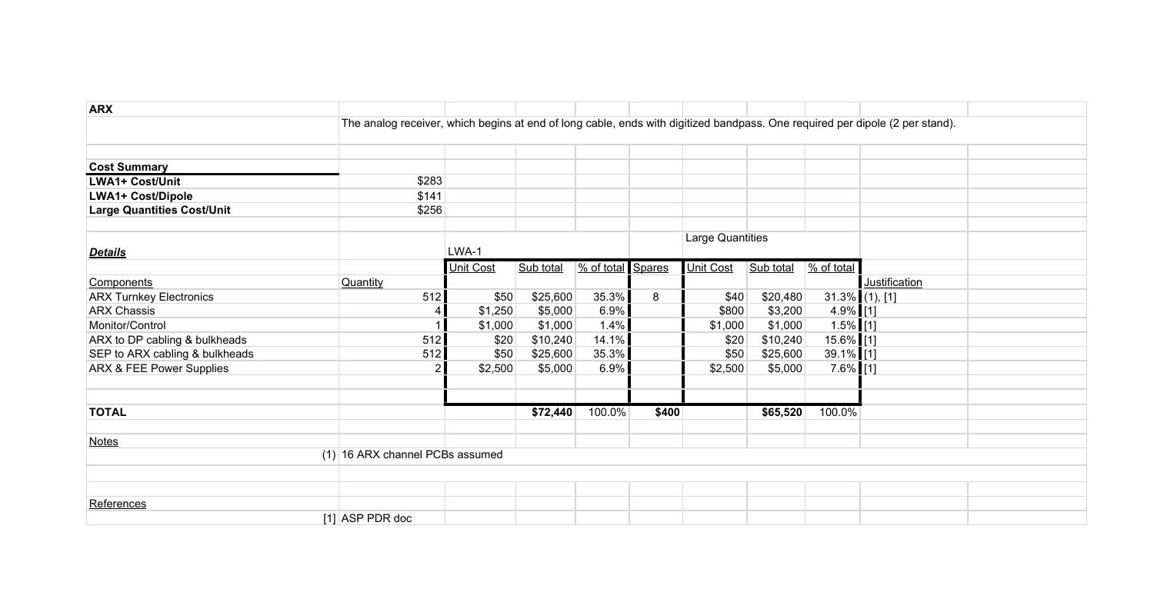| <b>ARX</b>                        |                                                                                                                              |                  |           |                   |       |                  |           |                        |               |  |
|-----------------------------------|------------------------------------------------------------------------------------------------------------------------------|------------------|-----------|-------------------|-------|------------------|-----------|------------------------|---------------|--|
|                                   | The analog receiver, which begins at end of long cable, ends with digitized bandpass. One required per dipole (2 per stand). |                  |           |                   |       |                  |           |                        |               |  |
|                                   |                                                                                                                              |                  |           |                   |       |                  |           |                        |               |  |
| <b>Cost Summary</b>               |                                                                                                                              |                  |           |                   |       |                  |           |                        |               |  |
| <b>LWA1+ Cost/Unit</b>            | \$283                                                                                                                        |                  |           |                   |       |                  |           |                        |               |  |
|                                   |                                                                                                                              |                  |           |                   |       |                  |           |                        |               |  |
| <b>LWA1+ Cost/Dipole</b>          | \$141                                                                                                                        |                  |           |                   |       |                  |           |                        |               |  |
| <b>Large Quantities Cost/Unit</b> | \$256                                                                                                                        |                  |           |                   |       |                  |           |                        |               |  |
|                                   |                                                                                                                              |                  |           |                   |       | Large Quantities |           |                        |               |  |
| <b>Details</b>                    |                                                                                                                              | LWA-1            |           |                   |       |                  |           |                        |               |  |
|                                   |                                                                                                                              | <b>Unit Cost</b> | Sub total | % of total Spares |       | Unit Cost        | Sub total | $\frac{9}{6}$ of total |               |  |
| Components                        | Quantity                                                                                                                     |                  |           |                   |       |                  |           |                        | Justification |  |
| <b>ARX Turnkey Electronics</b>    | 512                                                                                                                          | \$50             | \$25,600  | 35.3%             | 8     | \$40             | \$20,480  | $31.3\%$ (1), [1]      |               |  |
| <b>ARX Chassis</b>                |                                                                                                                              | \$1,250          | \$5,000   | 6.9%              |       | \$800            | \$3,200   | $4.9\%$ [1]            |               |  |
| Monitor/Control                   |                                                                                                                              | \$1,000          | \$1,000   | 1.4%              |       | \$1,000          | \$1,000   | $1.5\%$ [1]            |               |  |
| ARX to DP cabling & bulkheads     | 512                                                                                                                          | \$20             | \$10,240  | 14.1%             |       | \$20             | \$10,240  | 15.6% [1]              |               |  |
| SEP to ARX cabling & bulkheads    | 512                                                                                                                          | \$50             | \$25,600  | 35.3%             |       | \$50             | \$25,600  | 39.1% [1]              |               |  |
| ARX & FEE Power Supplies          | 2 <sub>1</sub>                                                                                                               | \$2,500          | \$5,000   | 6.9%              |       | \$2,500          | \$5,000   | $7.6\%$ [1]            |               |  |
|                                   |                                                                                                                              |                  |           |                   |       |                  |           |                        |               |  |
|                                   |                                                                                                                              |                  |           |                   |       |                  |           |                        |               |  |
| <b>TOTAL</b>                      |                                                                                                                              |                  | \$72,440  | $100.0\%$         | \$400 |                  | \$65,520  | 100.0%                 |               |  |
|                                   |                                                                                                                              |                  |           |                   |       |                  |           |                        |               |  |
| <b>Notes</b>                      |                                                                                                                              |                  |           |                   |       |                  |           |                        |               |  |
|                                   | (1) 16 ARX channel PCBs assumed                                                                                              |                  |           |                   |       |                  |           |                        |               |  |
|                                   |                                                                                                                              |                  |           |                   |       |                  |           |                        |               |  |
|                                   |                                                                                                                              |                  |           |                   |       |                  |           |                        |               |  |
| References                        |                                                                                                                              |                  |           |                   |       |                  |           |                        |               |  |
|                                   | $[1]$ ASP PDR doc                                                                                                            |                  |           |                   |       |                  |           |                        |               |  |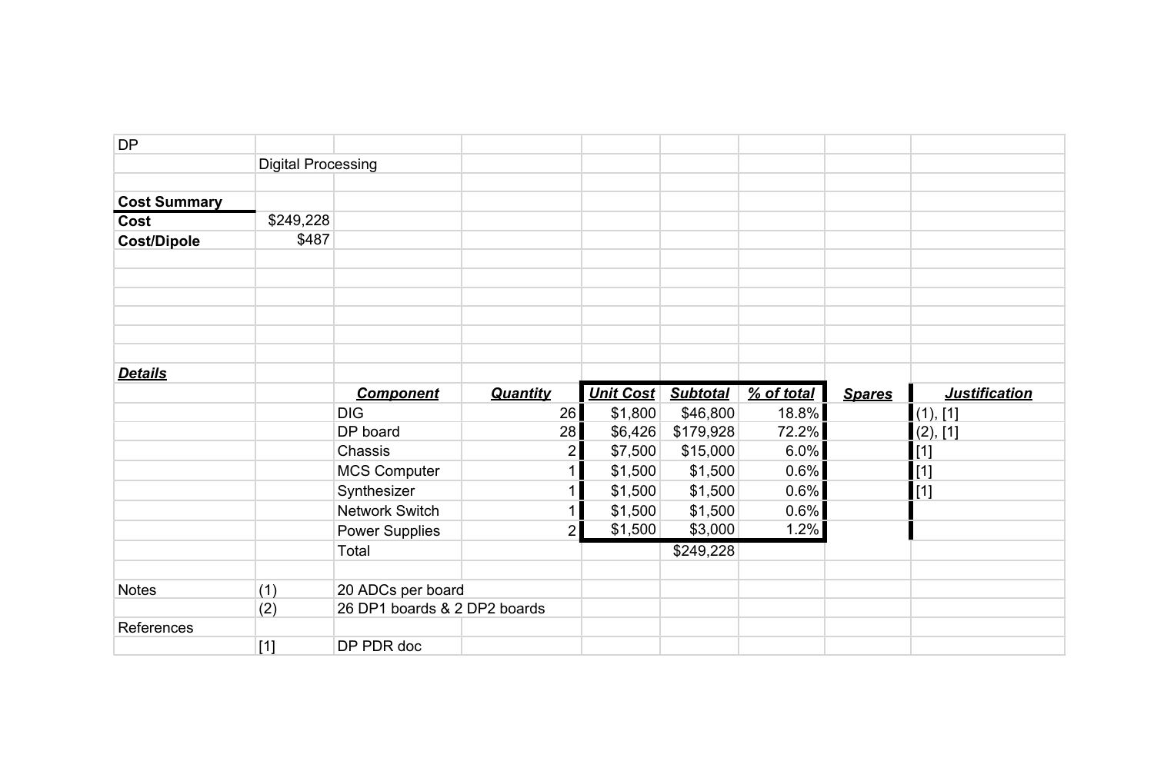| <b>DP</b>           |                           |                              |                 |                  |                 |            |               |                                                |
|---------------------|---------------------------|------------------------------|-----------------|------------------|-----------------|------------|---------------|------------------------------------------------|
|                     | <b>Digital Processing</b> |                              |                 |                  |                 |            |               |                                                |
|                     |                           |                              |                 |                  |                 |            |               |                                                |
| <b>Cost Summary</b> |                           |                              |                 |                  |                 |            |               |                                                |
| Cost                | \$249,228                 |                              |                 |                  |                 |            |               |                                                |
| <b>Cost/Dipole</b>  | \$487                     |                              |                 |                  |                 |            |               |                                                |
|                     |                           |                              |                 |                  |                 |            |               |                                                |
|                     |                           |                              |                 |                  |                 |            |               |                                                |
|                     |                           |                              |                 |                  |                 |            |               |                                                |
|                     |                           |                              |                 |                  |                 |            |               |                                                |
|                     |                           |                              |                 |                  |                 |            |               |                                                |
|                     |                           |                              |                 |                  |                 |            |               |                                                |
| <b>Details</b>      |                           |                              |                 |                  |                 |            |               |                                                |
|                     |                           | <b>Component</b>             | <b>Quantity</b> | <b>Unit Cost</b> | <b>Subtotal</b> | % of total | <b>Spares</b> | <b>Justification</b>                           |
|                     |                           | <b>DIG</b>                   | 26              | \$1,800          | \$46,800        | 18.8%      |               | (1), [1]                                       |
|                     |                           | DP board                     | 28              | \$6,426          | \$179,928       | 72.2%      |               | (2), [1]                                       |
|                     |                           | Chassis                      | 2               | \$7,500          | \$15,000        | 6.0%       |               | $\left[ \begin{matrix} 1 \end{matrix} \right]$ |
|                     |                           | <b>MCS Computer</b>          |                 | \$1,500          | \$1,500         | 0.6%       |               | $\left[ \begin{matrix} 1 \end{matrix} \right]$ |
|                     |                           | Synthesizer                  |                 | \$1,500          | \$1,500         | 0.6%       |               | $\left[1\right]$                               |
|                     |                           | Network Switch               |                 | \$1,500          | \$1,500         | 0.6%       |               |                                                |
|                     |                           | <b>Power Supplies</b>        | 2 <sup>1</sup>  | \$1,500          | \$3,000         | 1.2%       |               |                                                |
|                     |                           | Total                        |                 |                  | \$249,228       |            |               |                                                |
|                     |                           |                              |                 |                  |                 |            |               |                                                |
| <b>Notes</b>        | (1)                       | 20 ADCs per board            |                 |                  |                 |            |               |                                                |
|                     | (2)                       | 26 DP1 boards & 2 DP2 boards |                 |                  |                 |            |               |                                                |
| References          |                           |                              |                 |                  |                 |            |               |                                                |
|                     | $[1]$                     | DP PDR doc                   |                 |                  |                 |            |               |                                                |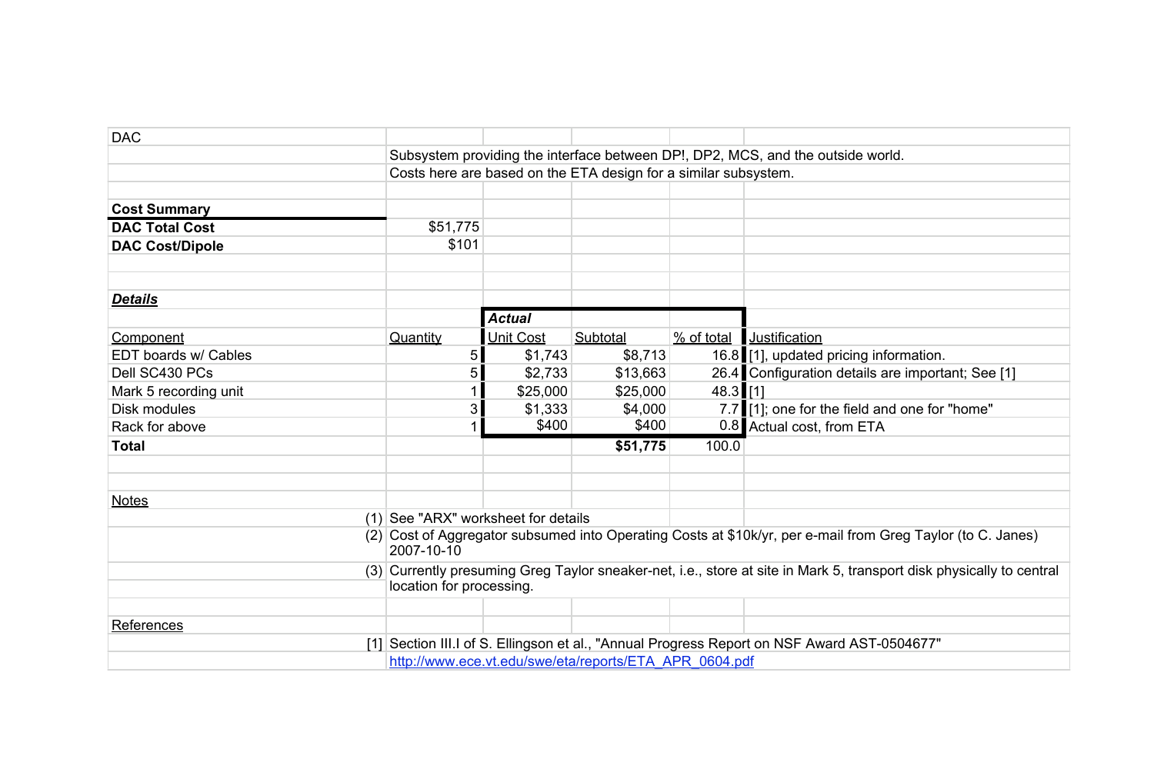| <b>DAC</b>             |                                                                                                                                                  |                  |                                                                 |            |                                                                                         |  |
|------------------------|--------------------------------------------------------------------------------------------------------------------------------------------------|------------------|-----------------------------------------------------------------|------------|-----------------------------------------------------------------------------------------|--|
|                        |                                                                                                                                                  |                  |                                                                 |            | Subsystem providing the interface between DP!, DP2, MCS, and the outside world.         |  |
|                        |                                                                                                                                                  |                  | Costs here are based on the ETA design for a similar subsystem. |            |                                                                                         |  |
|                        |                                                                                                                                                  |                  |                                                                 |            |                                                                                         |  |
| <b>Cost Summary</b>    |                                                                                                                                                  |                  |                                                                 |            |                                                                                         |  |
| <b>DAC Total Cost</b>  | \$51,775                                                                                                                                         |                  |                                                                 |            |                                                                                         |  |
| <b>DAC Cost/Dipole</b> | \$101                                                                                                                                            |                  |                                                                 |            |                                                                                         |  |
|                        |                                                                                                                                                  |                  |                                                                 |            |                                                                                         |  |
|                        |                                                                                                                                                  |                  |                                                                 |            |                                                                                         |  |
| <b>Details</b>         |                                                                                                                                                  |                  |                                                                 |            |                                                                                         |  |
|                        |                                                                                                                                                  | <b>Actual</b>    |                                                                 |            |                                                                                         |  |
| Component              | Quantity                                                                                                                                         | <b>Unit Cost</b> | Subtotal                                                        | % of total | Justification                                                                           |  |
| EDT boards w/ Cables   | 5                                                                                                                                                | \$1,743          | \$8,713                                                         |            | 16.8 [1], updated pricing information.                                                  |  |
| Dell SC430 PCs         | 5                                                                                                                                                | \$2,733          | \$13,663                                                        |            | 26.4 Configuration details are important; See [1]                                       |  |
| Mark 5 recording unit  |                                                                                                                                                  | \$25,000         | \$25,000                                                        | 48.3 [1]   |                                                                                         |  |
| Disk modules           | $3\vert$                                                                                                                                         | \$1,333          | \$4,000                                                         |            | 7.7 [1]; one for the field and one for "home"                                           |  |
| Rack for above         |                                                                                                                                                  | \$400            | \$400                                                           |            | 0.8 Actual cost, from ETA                                                               |  |
| <b>Total</b>           |                                                                                                                                                  |                  | \$51,775                                                        | 100.0      |                                                                                         |  |
|                        |                                                                                                                                                  |                  |                                                                 |            |                                                                                         |  |
|                        |                                                                                                                                                  |                  |                                                                 |            |                                                                                         |  |
| <b>Notes</b>           |                                                                                                                                                  |                  |                                                                 |            |                                                                                         |  |
|                        | $(1)$ See "ARX" worksheet for details                                                                                                            |                  |                                                                 |            |                                                                                         |  |
|                        | (2) Cost of Aggregator subsumed into Operating Costs at \$10k/yr, per e-mail from Greg Taylor (to C. Janes)<br>2007-10-10                        |                  |                                                                 |            |                                                                                         |  |
|                        | (3) Currently presuming Greg Taylor sneaker-net, i.e., store at site in Mark 5, transport disk physically to central<br>location for processing. |                  |                                                                 |            |                                                                                         |  |
|                        |                                                                                                                                                  |                  |                                                                 |            |                                                                                         |  |
| References             |                                                                                                                                                  |                  |                                                                 |            |                                                                                         |  |
| $\lceil 1 \rceil$      |                                                                                                                                                  |                  |                                                                 |            | Section III.I of S. Ellingson et al., "Annual Progress Report on NSF Award AST-0504677" |  |
|                        |                                                                                                                                                  |                  | http://www.ece.vt.edu/swe/eta/reports/ETA APR 0604.pdf          |            |                                                                                         |  |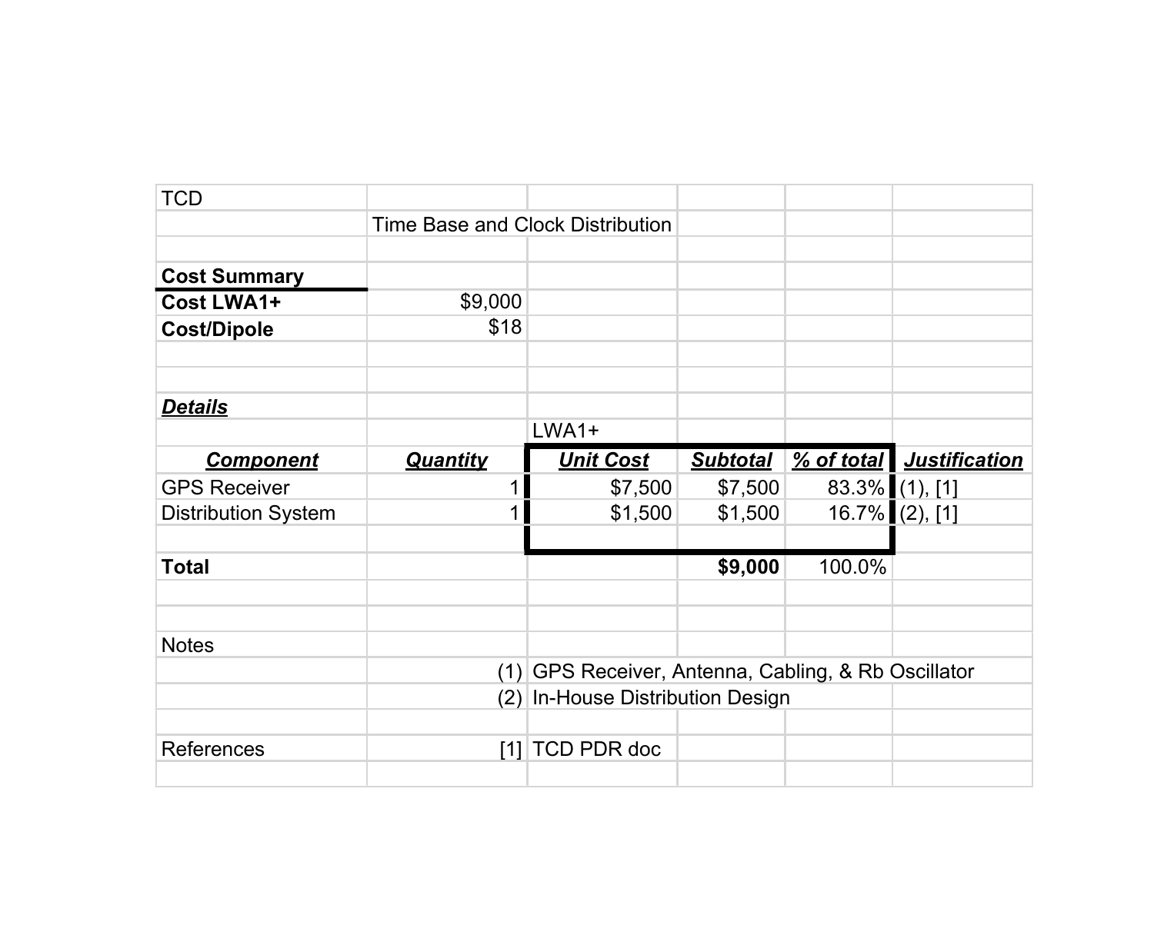| <b>TCD</b>                 |                                  |                                                 |                 |        |                          |
|----------------------------|----------------------------------|-------------------------------------------------|-----------------|--------|--------------------------|
|                            | Time Base and Clock Distribution |                                                 |                 |        |                          |
|                            |                                  |                                                 |                 |        |                          |
| <b>Cost Summary</b>        |                                  |                                                 |                 |        |                          |
| Cost LWA1+                 | \$9,000                          |                                                 |                 |        |                          |
| <b>Cost/Dipole</b>         | \$18                             |                                                 |                 |        |                          |
|                            |                                  |                                                 |                 |        |                          |
|                            |                                  |                                                 |                 |        |                          |
| <b>Details</b>             |                                  |                                                 |                 |        |                          |
|                            |                                  | LWA1+                                           |                 |        |                          |
| <b>Component</b>           | <b>Quantity</b>                  | <b>Unit Cost</b>                                | <b>Subtotal</b> |        | % of total Justification |
| <b>GPS Receiver</b>        |                                  | \$7,500                                         | \$7,500         |        | 83.3% (1), [1]           |
| <b>Distribution System</b> | 1                                | \$1,500                                         | \$1,500         |        | $16.7\%$ (2), [1]        |
|                            |                                  |                                                 |                 |        |                          |
| <b>Total</b>               |                                  |                                                 | \$9,000         | 100.0% |                          |
|                            |                                  |                                                 |                 |        |                          |
|                            |                                  |                                                 |                 |        |                          |
| <b>Notes</b>               |                                  |                                                 |                 |        |                          |
|                            | (1)                              | GPS Receiver, Antenna, Cabling, & Rb Oscillator |                 |        |                          |
|                            |                                  | (2) In-House Distribution Design                |                 |        |                          |
|                            |                                  |                                                 |                 |        |                          |
| References                 |                                  | [1] TCD PDR doc                                 |                 |        |                          |
|                            |                                  |                                                 |                 |        |                          |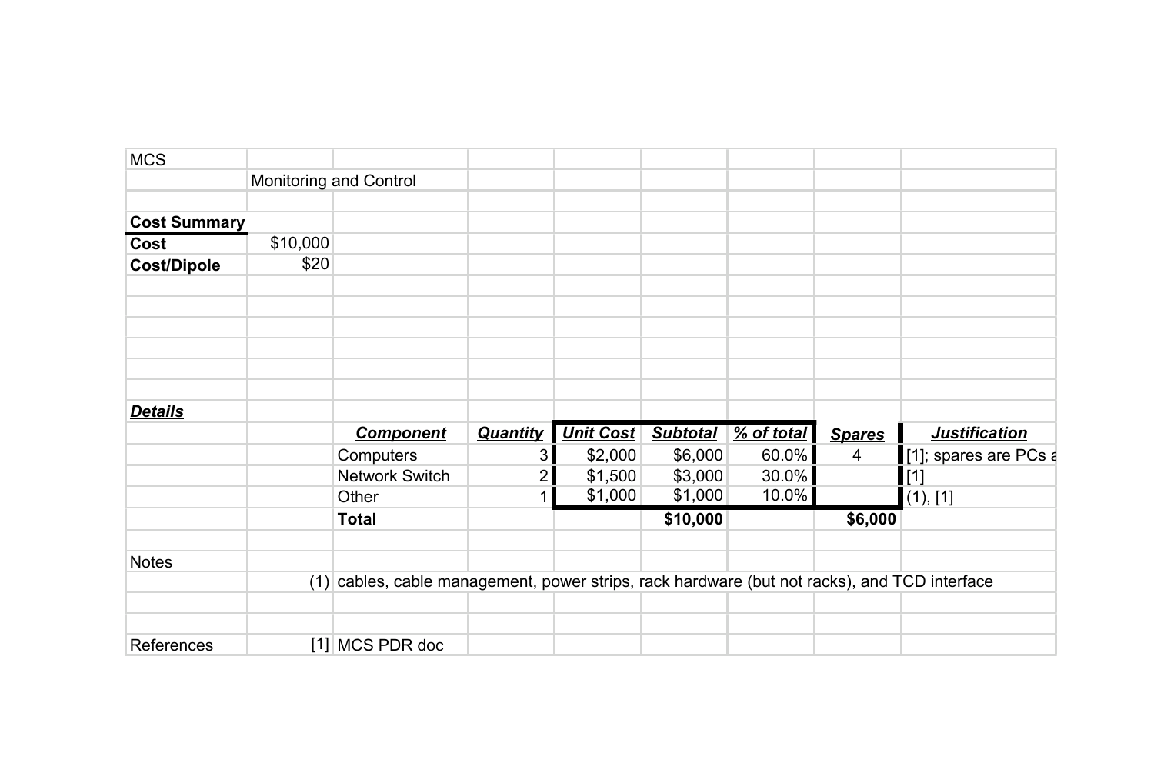| <b>MCS</b>          |          |                                                                                              |                 |                  |                 |            |                |                       |
|---------------------|----------|----------------------------------------------------------------------------------------------|-----------------|------------------|-----------------|------------|----------------|-----------------------|
|                     |          | Monitoring and Control                                                                       |                 |                  |                 |            |                |                       |
| <b>Cost Summary</b> |          |                                                                                              |                 |                  |                 |            |                |                       |
| Cost                | \$10,000 |                                                                                              |                 |                  |                 |            |                |                       |
| <b>Cost/Dipole</b>  | \$20     |                                                                                              |                 |                  |                 |            |                |                       |
|                     |          |                                                                                              |                 |                  |                 |            |                |                       |
|                     |          |                                                                                              |                 |                  |                 |            |                |                       |
|                     |          |                                                                                              |                 |                  |                 |            |                |                       |
|                     |          |                                                                                              |                 |                  |                 |            |                |                       |
| <b>Details</b>      |          |                                                                                              |                 |                  |                 |            |                |                       |
|                     |          | <b>Component</b>                                                                             | <b>Quantity</b> | <b>Unit Cost</b> | <b>Subtotal</b> | % of total | <b>Spares</b>  | <b>Justification</b>  |
|                     |          | Computers                                                                                    | 3               | \$2,000          | \$6,000         | 60.0%      | $\overline{4}$ | [1]; spares are PCs a |
|                     |          | Network Switch                                                                               | 2               | \$1,500          | \$3,000         | 30.0%      |                | $\vert$ [1]           |
|                     |          | Other                                                                                        |                 | \$1,000          | \$1,000         | 10.0%      |                | (1), [1]              |
|                     |          | <b>Total</b>                                                                                 |                 |                  | \$10,000        |            | \$6,000        |                       |
| <b>Notes</b>        |          |                                                                                              |                 |                  |                 |            |                |                       |
|                     |          | (1) cables, cable management, power strips, rack hardware (but not racks), and TCD interface |                 |                  |                 |            |                |                       |
|                     |          |                                                                                              |                 |                  |                 |            |                |                       |
| References          |          | [1] MCS PDR doc                                                                              |                 |                  |                 |            |                |                       |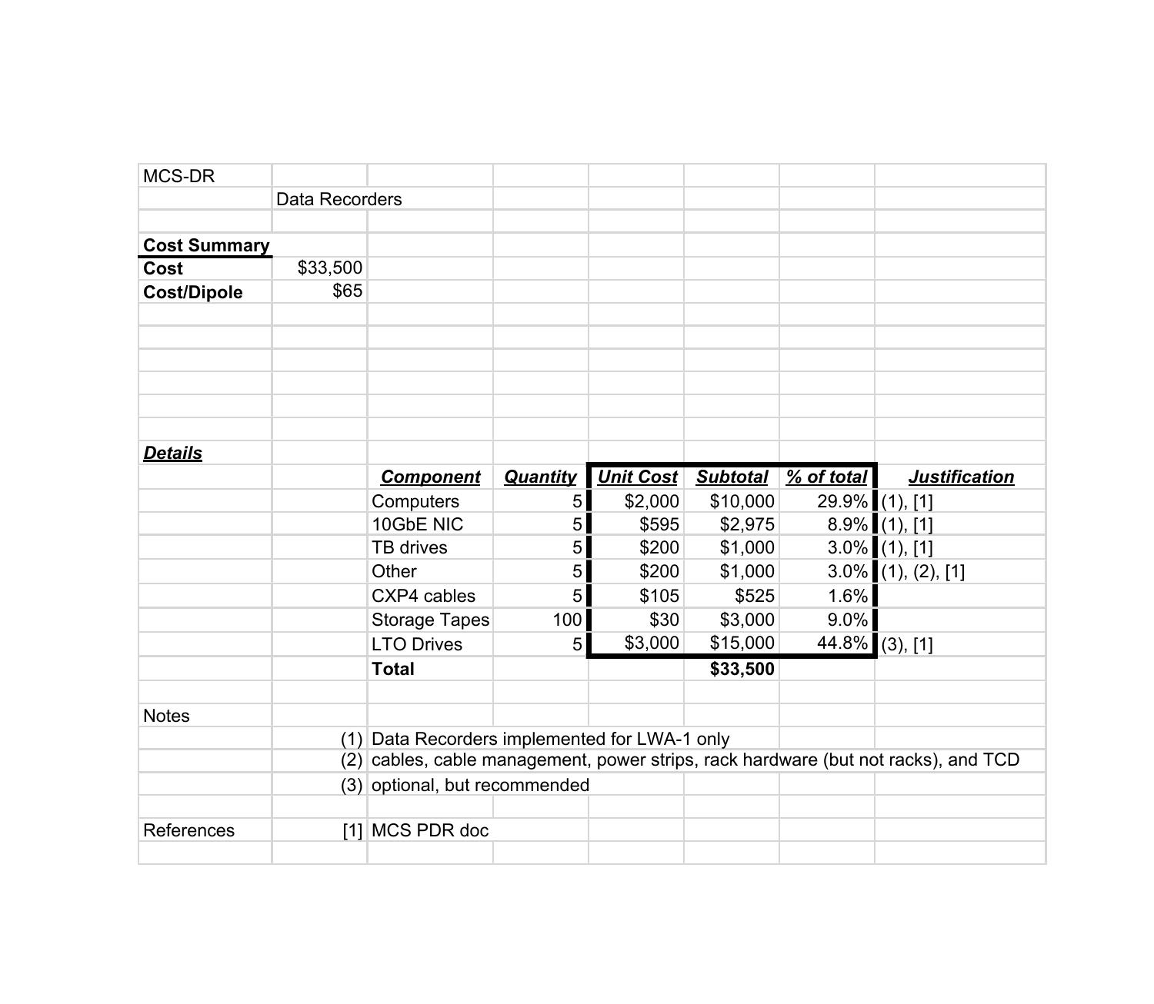| MCS-DR              |                |                                               |                |                  |                 |              |                                                                                    |
|---------------------|----------------|-----------------------------------------------|----------------|------------------|-----------------|--------------|------------------------------------------------------------------------------------|
|                     | Data Recorders |                                               |                |                  |                 |              |                                                                                    |
|                     |                |                                               |                |                  |                 |              |                                                                                    |
| <b>Cost Summary</b> |                |                                               |                |                  |                 |              |                                                                                    |
| Cost                | \$33,500       |                                               |                |                  |                 |              |                                                                                    |
| <b>Cost/Dipole</b>  | \$65           |                                               |                |                  |                 |              |                                                                                    |
|                     |                |                                               |                |                  |                 |              |                                                                                    |
|                     |                |                                               |                |                  |                 |              |                                                                                    |
|                     |                |                                               |                |                  |                 |              |                                                                                    |
|                     |                |                                               |                |                  |                 |              |                                                                                    |
|                     |                |                                               |                |                  |                 |              |                                                                                    |
| <b>Details</b>      |                |                                               |                |                  |                 |              |                                                                                    |
|                     |                | <b>Component</b>                              | Quantity       | <b>Unit Cost</b> | <b>Subtotal</b> | $%$ of total | <b>Justification</b>                                                               |
|                     |                | Computers                                     | 5 <sup>1</sup> | \$2,000          | \$10,000        |              | 29.9% (1), [1]                                                                     |
|                     |                | 10GbE NIC                                     | 5 <sup>1</sup> | \$595            | \$2,975         |              | $8.9\%$ (1), [1]                                                                   |
|                     |                | TB drives                                     | 5 <sup>1</sup> | \$200            | \$1,000         |              | $3.0\%$ (1), [1]                                                                   |
|                     |                | Other                                         | 5 <sup>1</sup> | \$200            | \$1,000         |              | $3.0\%$ (1), (2), [1]                                                              |
|                     |                | CXP4 cables                                   | 5 <sup>1</sup> | \$105            | \$525           | 1.6%         |                                                                                    |
|                     |                | <b>Storage Tapes</b>                          | 100            | \$30             | \$3,000         | $9.0\%$      |                                                                                    |
|                     |                | <b>LTO Drives</b>                             | 5 <sup>1</sup> | \$3,000          | \$15,000        |              | 44.8% (3), [1]                                                                     |
|                     |                | <b>Total</b>                                  |                |                  | \$33,500        |              |                                                                                    |
| <b>Notes</b>        |                |                                               |                |                  |                 |              |                                                                                    |
|                     |                | (1) Data Recorders implemented for LWA-1 only |                |                  |                 |              |                                                                                    |
|                     |                |                                               |                |                  |                 |              | (2) cables, cable management, power strips, rack hardware (but not racks), and TCD |
|                     |                | (3) optional, but recommended                 |                |                  |                 |              |                                                                                    |
|                     |                |                                               |                |                  |                 |              |                                                                                    |
| References          |                | [1] MCS PDR doc                               |                |                  |                 |              |                                                                                    |
|                     |                |                                               |                |                  |                 |              |                                                                                    |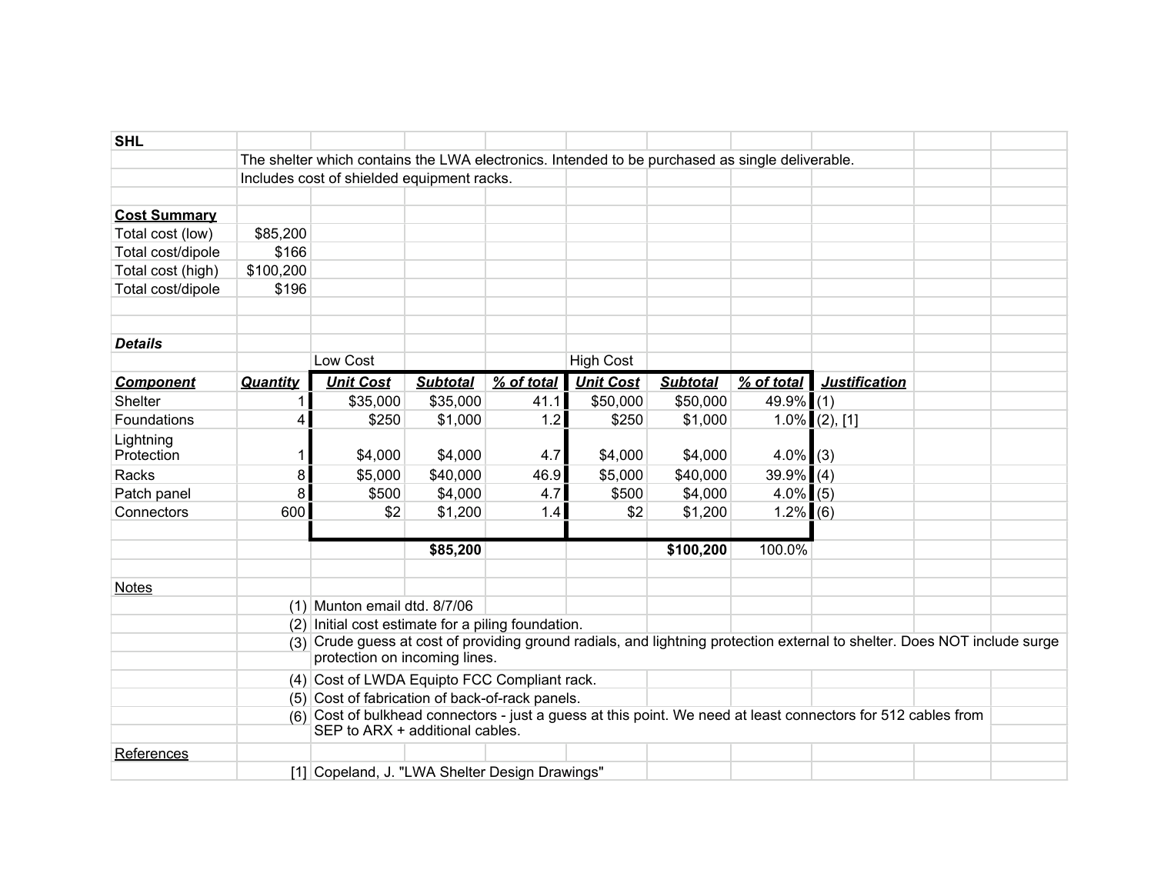| <b>SHL</b>              |                 |                                                                                                 |                 |            |                  |                 |              |                                                                                                                           |  |
|-------------------------|-----------------|-------------------------------------------------------------------------------------------------|-----------------|------------|------------------|-----------------|--------------|---------------------------------------------------------------------------------------------------------------------------|--|
|                         |                 | The shelter which contains the LWA electronics. Intended to be purchased as single deliverable. |                 |            |                  |                 |              |                                                                                                                           |  |
|                         |                 | Includes cost of shielded equipment racks.                                                      |                 |            |                  |                 |              |                                                                                                                           |  |
|                         |                 |                                                                                                 |                 |            |                  |                 |              |                                                                                                                           |  |
| <b>Cost Summary</b>     |                 |                                                                                                 |                 |            |                  |                 |              |                                                                                                                           |  |
| Total cost (low)        | \$85,200        |                                                                                                 |                 |            |                  |                 |              |                                                                                                                           |  |
| Total cost/dipole       | \$166           |                                                                                                 |                 |            |                  |                 |              |                                                                                                                           |  |
| Total cost (high)       | \$100,200       |                                                                                                 |                 |            |                  |                 |              |                                                                                                                           |  |
| Total cost/dipole       | \$196           |                                                                                                 |                 |            |                  |                 |              |                                                                                                                           |  |
|                         |                 |                                                                                                 |                 |            |                  |                 |              |                                                                                                                           |  |
|                         |                 |                                                                                                 |                 |            |                  |                 |              |                                                                                                                           |  |
| <b>Details</b>          |                 |                                                                                                 |                 |            |                  |                 |              |                                                                                                                           |  |
|                         |                 | Low Cost                                                                                        |                 |            | <b>High Cost</b> |                 |              |                                                                                                                           |  |
| <b>Component</b>        | Quantity        | <b>Unit Cost</b>                                                                                | <b>Subtotal</b> | % of total | <b>Unit Cost</b> | <b>Subtotal</b> | $%$ of total | <b>Justification</b>                                                                                                      |  |
| Shelter                 |                 | \$35,000                                                                                        | \$35,000        | 41.1       | \$50,000         | \$50,000        | $49.9\%$ (1) |                                                                                                                           |  |
| Foundations             | $\vert 4 \vert$ | \$250                                                                                           | \$1,000         | 1.2        | \$250            | \$1,000         |              | $1.0\%$ (2), [1]                                                                                                          |  |
| Lightning<br>Protection |                 | \$4,000                                                                                         | \$4,000         | 4.7        | \$4,000          | \$4,000         | $4.0\%$ (3)  |                                                                                                                           |  |
| Racks                   | 8 <sup>1</sup>  | \$5,000                                                                                         | \$40,000        | 46.9       | \$5,000          | \$40,000        | $39.9\%$ (4) |                                                                                                                           |  |
| Patch panel             | 8 <sup>1</sup>  | \$500                                                                                           | \$4,000         | 4.7        | \$500            | \$4,000         | $4.0\%$ (5)  |                                                                                                                           |  |
| Connectors              | 600             | \$2                                                                                             | \$1,200         | 1.4        | \$2              | \$1,200         | $1.2\%$ (6)  |                                                                                                                           |  |
|                         |                 |                                                                                                 |                 |            |                  |                 |              |                                                                                                                           |  |
|                         |                 |                                                                                                 | \$85,200        |            |                  | \$100,200       | 100.0%       |                                                                                                                           |  |
|                         |                 |                                                                                                 |                 |            |                  |                 |              |                                                                                                                           |  |
| <b>Notes</b>            |                 |                                                                                                 |                 |            |                  |                 |              |                                                                                                                           |  |
|                         |                 | $(1)$ Munton email dtd. 8/7/06                                                                  |                 |            |                  |                 |              |                                                                                                                           |  |
|                         |                 | $(2)$ Initial cost estimate for a piling foundation.                                            |                 |            |                  |                 |              |                                                                                                                           |  |
|                         |                 | protection on incoming lines.                                                                   |                 |            |                  |                 |              | (3) Crude guess at cost of providing ground radials, and lightning protection external to shelter. Does NOT include surge |  |
|                         |                 | (4) Cost of LWDA Equipto FCC Compliant rack.                                                    |                 |            |                  |                 |              |                                                                                                                           |  |
|                         |                 | (5) Cost of fabrication of back-of-rack panels.                                                 |                 |            |                  |                 |              |                                                                                                                           |  |
|                         |                 |                                                                                                 |                 |            |                  |                 |              | (6) Cost of bulkhead connectors - just a guess at this point. We need at least connectors for 512 cables from             |  |
|                         |                 | SEP to ARX + additional cables.                                                                 |                 |            |                  |                 |              |                                                                                                                           |  |
| References              |                 |                                                                                                 |                 |            |                  |                 |              |                                                                                                                           |  |
|                         |                 | [1] Copeland, J. "LWA Shelter Design Drawings"                                                  |                 |            |                  |                 |              |                                                                                                                           |  |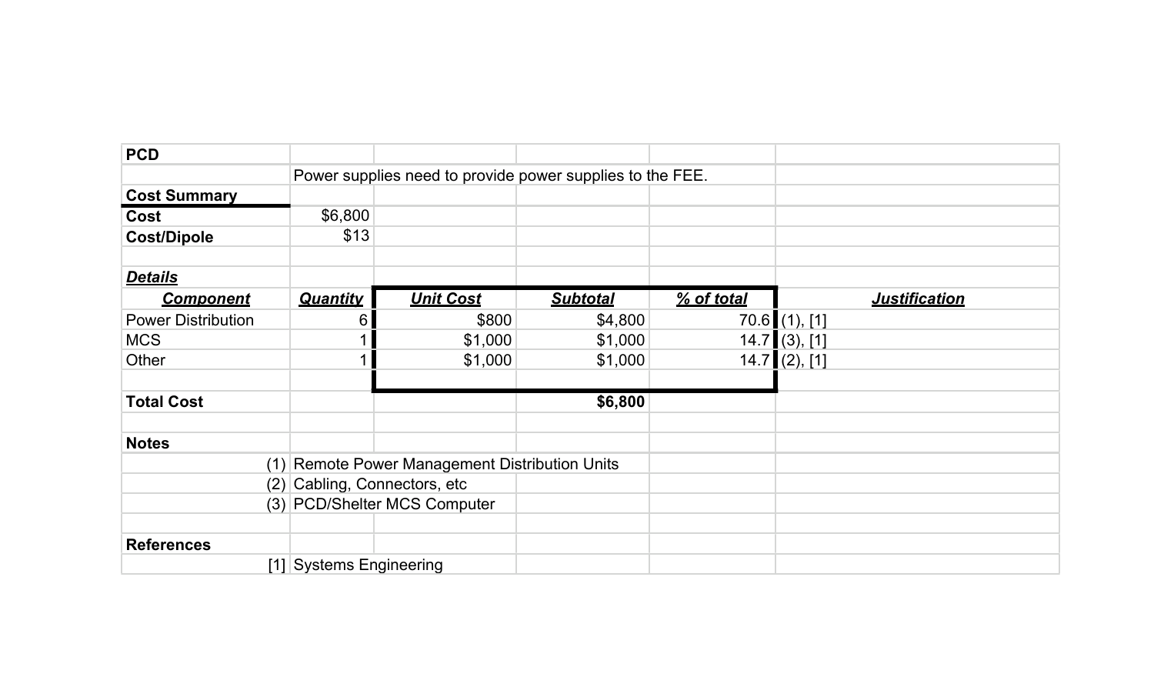| <b>PCD</b>                |                               |                                                           |                 |            |                 |                      |  |
|---------------------------|-------------------------------|-----------------------------------------------------------|-----------------|------------|-----------------|----------------------|--|
|                           |                               | Power supplies need to provide power supplies to the FEE. |                 |            |                 |                      |  |
| <b>Cost Summary</b>       |                               |                                                           |                 |            |                 |                      |  |
| Cost                      | \$6,800                       |                                                           |                 |            |                 |                      |  |
| <b>Cost/Dipole</b>        | \$13                          |                                                           |                 |            |                 |                      |  |
| <b>Details</b>            |                               |                                                           |                 |            |                 |                      |  |
| <b>Component</b>          | <b>Quantity</b>               | <b>Unit Cost</b>                                          | <b>Subtotal</b> | % of total |                 | <b>Justification</b> |  |
| <b>Power Distribution</b> | 6                             | \$800                                                     | \$4,800         |            | $70.6$ (1), [1] |                      |  |
| <b>MCS</b>                |                               | \$1,000                                                   | \$1,000         |            | $14.7$ (3), [1] |                      |  |
| Other                     |                               | \$1,000                                                   | \$1,000         |            | $14.7$ (2), [1] |                      |  |
|                           |                               |                                                           |                 |            |                 |                      |  |
| <b>Total Cost</b>         |                               |                                                           | \$6,800         |            |                 |                      |  |
|                           |                               |                                                           |                 |            |                 |                      |  |
| <b>Notes</b>              |                               |                                                           |                 |            |                 |                      |  |
|                           |                               | (1) Remote Power Management Distribution Units            |                 |            |                 |                      |  |
|                           | (2) Cabling, Connectors, etc. |                                                           |                 |            |                 |                      |  |
|                           |                               | (3) PCD/Shelter MCS Computer                              |                 |            |                 |                      |  |
|                           |                               |                                                           |                 |            |                 |                      |  |
| <b>References</b>         |                               |                                                           |                 |            |                 |                      |  |
|                           | [1] Systems Engineering       |                                                           |                 |            |                 |                      |  |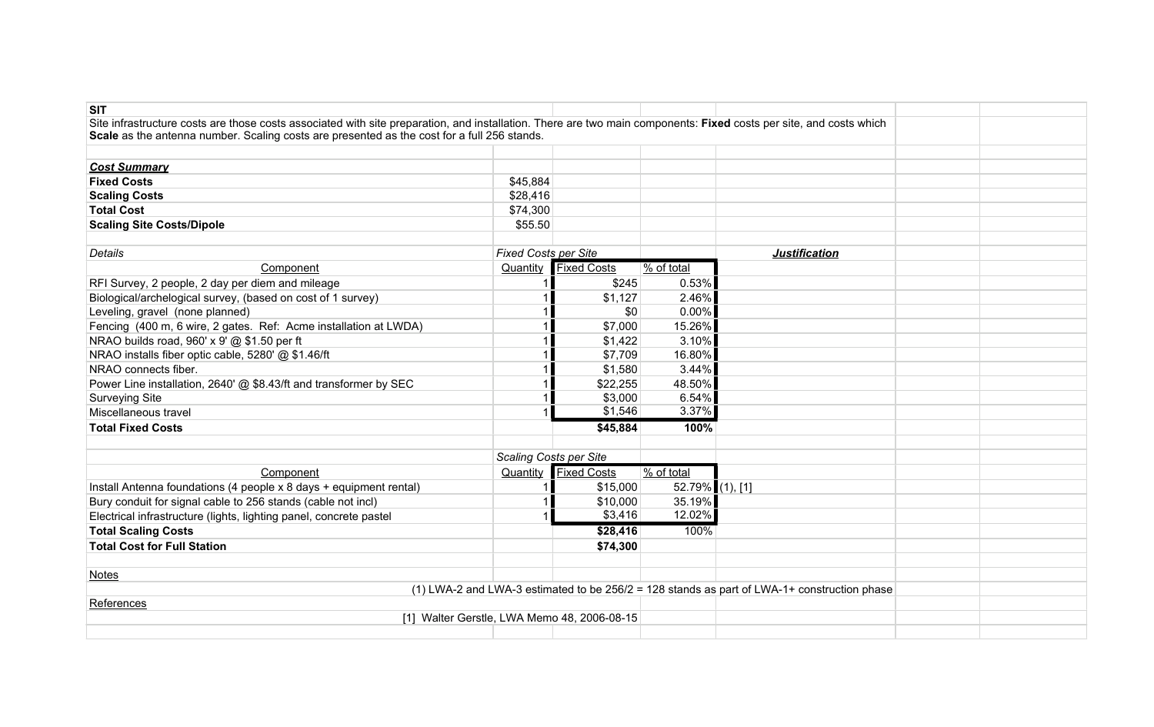| <b>SIT</b>                                                                                                                                                         |                               |                    |                        |                                                                                               |  |
|--------------------------------------------------------------------------------------------------------------------------------------------------------------------|-------------------------------|--------------------|------------------------|-----------------------------------------------------------------------------------------------|--|
| Site infrastructure costs are those costs associated with site preparation, and installation. There are two main components: Fixed costs per site, and costs which |                               |                    |                        |                                                                                               |  |
| Scale as the antenna number. Scaling costs are presented as the cost for a full 256 stands.                                                                        |                               |                    |                        |                                                                                               |  |
|                                                                                                                                                                    |                               |                    |                        |                                                                                               |  |
| <b>Cost Summary</b>                                                                                                                                                |                               |                    |                        |                                                                                               |  |
| <b>Fixed Costs</b>                                                                                                                                                 | \$45,884                      |                    |                        |                                                                                               |  |
| <b>Scaling Costs</b>                                                                                                                                               | \$28,416                      |                    |                        |                                                                                               |  |
| <b>Total Cost</b>                                                                                                                                                  | \$74,300                      |                    |                        |                                                                                               |  |
| <b>Scaling Site Costs/Dipole</b>                                                                                                                                   | \$55.50                       |                    |                        |                                                                                               |  |
|                                                                                                                                                                    |                               |                    |                        |                                                                                               |  |
| Details                                                                                                                                                            | <b>Fixed Costs per Site</b>   |                    |                        | <b>Justification</b>                                                                          |  |
| Component                                                                                                                                                          | Quantity                      | <b>Fixed Costs</b> | % of total             |                                                                                               |  |
| RFI Survey, 2 people, 2 day per diem and mileage                                                                                                                   |                               | \$245              | 0.53%                  |                                                                                               |  |
| Biological/archelogical survey, (based on cost of 1 survey)                                                                                                        |                               | \$1,127            | 2.46%                  |                                                                                               |  |
| Leveling, gravel (none planned)                                                                                                                                    |                               | \$0                | $0.00\%$               |                                                                                               |  |
| Fencing (400 m, 6 wire, 2 gates. Ref: Acme installation at LWDA)                                                                                                   |                               | \$7,000            | 15.26%                 |                                                                                               |  |
| NRAO builds road, 960' x 9' @ \$1.50 per ft                                                                                                                        |                               | \$1,422            | 3.10%                  |                                                                                               |  |
| NRAO installs fiber optic cable, 5280' @ \$1.46/ft                                                                                                                 |                               | \$7,709            | 16.80%                 |                                                                                               |  |
| NRAO connects fiber.                                                                                                                                               |                               | \$1,580            | 3.44%                  |                                                                                               |  |
| Power Line installation, 2640' @ \$8.43/ft and transformer by SEC                                                                                                  |                               | \$22,255           | 48.50%                 |                                                                                               |  |
| Surveying Site                                                                                                                                                     |                               | \$3,000            | 6.54%                  |                                                                                               |  |
| Miscellaneous travel                                                                                                                                               |                               | \$1,546            | 3.37%                  |                                                                                               |  |
| <b>Total Fixed Costs</b>                                                                                                                                           |                               | \$45,884           | 100%                   |                                                                                               |  |
|                                                                                                                                                                    |                               |                    |                        |                                                                                               |  |
|                                                                                                                                                                    | <b>Scaling Costs per Site</b> |                    |                        |                                                                                               |  |
| Component                                                                                                                                                          | Quantity                      | <b>Fixed Costs</b> | $\frac{9}{6}$ of total |                                                                                               |  |
| Install Antenna foundations (4 people x 8 days + equipment rental)                                                                                                 |                               | \$15,000           | 52.79% (1), [1]        |                                                                                               |  |
| Bury conduit for signal cable to 256 stands (cable not incl)                                                                                                       |                               | \$10,000           | 35.19%                 |                                                                                               |  |
| Electrical infrastructure (lights, lighting panel, concrete pastel                                                                                                 |                               | \$3,416            | 12.02%                 |                                                                                               |  |
| <b>Total Scaling Costs</b>                                                                                                                                         |                               | \$28,416           | 100%                   |                                                                                               |  |
| <b>Total Cost for Full Station</b>                                                                                                                                 |                               | \$74,300           |                        |                                                                                               |  |
|                                                                                                                                                                    |                               |                    |                        |                                                                                               |  |
| <b>Notes</b>                                                                                                                                                       |                               |                    |                        |                                                                                               |  |
|                                                                                                                                                                    |                               |                    |                        | (1) LWA-2 and LWA-3 estimated to be $256/2 = 128$ stands as part of LWA-1+ construction phase |  |
| References                                                                                                                                                         |                               |                    |                        |                                                                                               |  |
| [1] Walter Gerstle, LWA Memo 48, 2006-08-15                                                                                                                        |                               |                    |                        |                                                                                               |  |
|                                                                                                                                                                    |                               |                    |                        |                                                                                               |  |